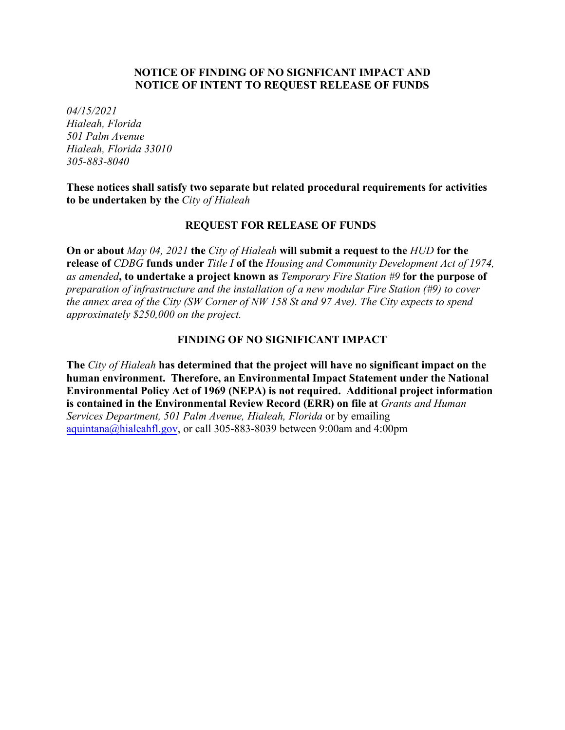# **NOTICE OF FINDING OF NO SIGNFICANT IMPACT AND NOTICE OF INTENT TO REQUEST RELEASE OF FUNDS**

*04/15/2021 Hialeah, Florida 501 Palm Avenue Hialeah, Florida 33010 305-883-8040*

**These notices shall satisfy two separate but related procedural requirements for activities to be undertaken by the** *City of Hialeah*

#### **REQUEST FOR RELEASE OF FUNDS**

**On or about** *May 04, 2021* **the** *City of Hialeah* **will submit a request to the** *HUD* **for the release of** *CDBG* **funds under** *Title I* **of the** *Housing and Community Development Act of 1974, as amended***, to undertake a project known as** *Temporary Fire Station #9* **for the purpose of** *preparation of infrastructure and the installation of a new modular Fire Station (#9) to cover the annex area of the City (SW Corner of NW 158 St and 97 Ave). The City expects to spend approximately \$250,000 on the project.* 

### **FINDING OF NO SIGNIFICANT IMPACT**

**The** *City of Hialeah* **has determined that the project will have no significant impact on the human environment. Therefore, an Environmental Impact Statement under the National Environmental Policy Act of 1969 (NEPA) is not required. Additional project information is contained in the Environmental Review Record (ERR) on file at** *Grants and Human Services Department, 501 Palm Avenue, Hialeah, Florida* or by emailing aquintana@hialeahfl.gov, or call 305-883-8039 between 9:00am and 4:00pm